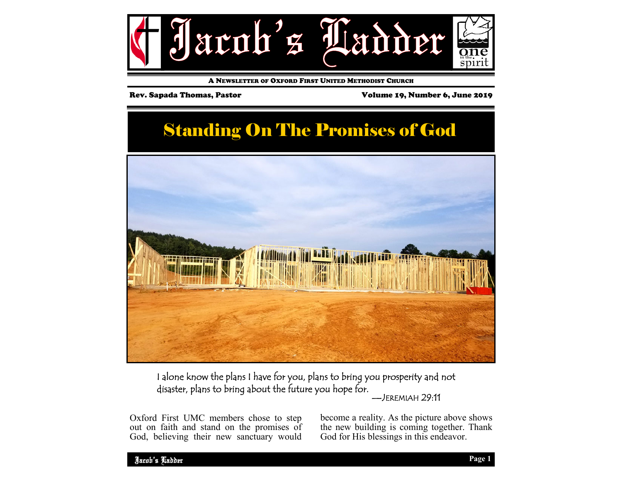

A NEWSLETTER OF OXFORD FIRST UNITED METHODIST CHURCH

Rev. Sapada Thomas, Pastor Volume 19, Number 6, June 2019

# **Standing On The Promises of God**



I alone know the plans I have for you, plans to bring you prosperity and not disaster, plans to bring about the future you hope for. —JEREMIAH 29:11

Oxford First UMC members chose to step out on faith and stand on the promises of God, believing their new sanctuary would become a reality. As the picture above shows the new building is coming together. Thank God for His blessings in this endeavor.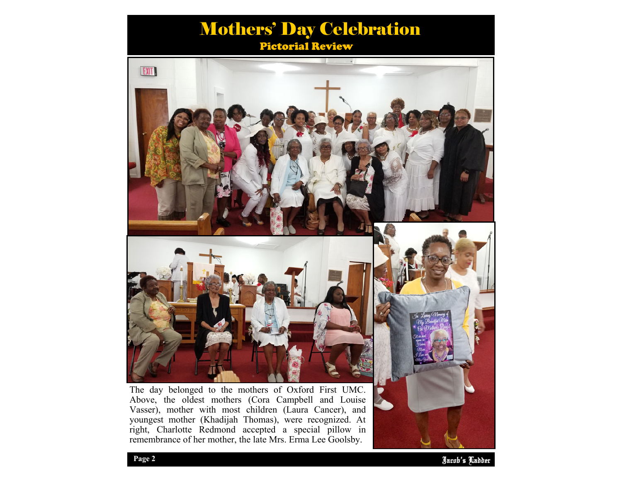## Pictorial Review Mothers' Day Celebration



The day belonged to the mothers of Oxford First UMC. Above, the oldest mothers (Cora Campbell and Louise Vasser), mother with most children (Laura Cancer), and youngest mother (Khadijah Thomas), were recognized. At right, Charlotte Redmond accepted a special pillow in remembrance of her mother, the late Mrs. Erma Lee Goolsby.



**EXIT**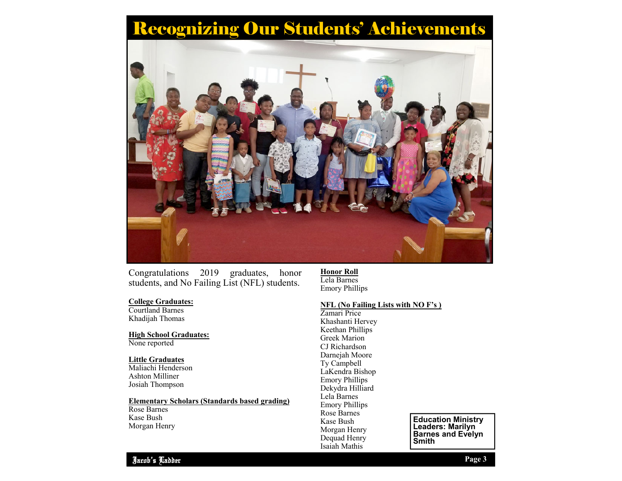# Recognizing Our Students' Achievements



Congratulations 2019 graduates, honor students, and No Failing List (NFL) students.

#### **College Graduates:**

Courtland Barnes Khadijah Thomas

**High School Graduates:**  None reported

#### **Little Graduates**  Maliachi Henderson

Ashton Milliner Josiah Thompson

#### **Elementary Scholars (Standards based grading)**

Rose Barnes Kase Bush Morgan Henry **Honor Roll** Lela Barnes Emory Phillips

#### **NFL (No Failing Lists with NO F's )**

Zamari Price Khashanti Hervey Keethan Phillips Greek Marion CJ Richardson Darneiah Moore Ty Campbell LaKendra Bishop Emory Phillips Dekydra Hilliard Lela Barnes Emory Phillips Rose Barnes Kase Bush Morgan Henry Dequad Henry Isaiah Mathis

**Education Ministry Leaders: Marilyn Barnes and Evelyn Smith**